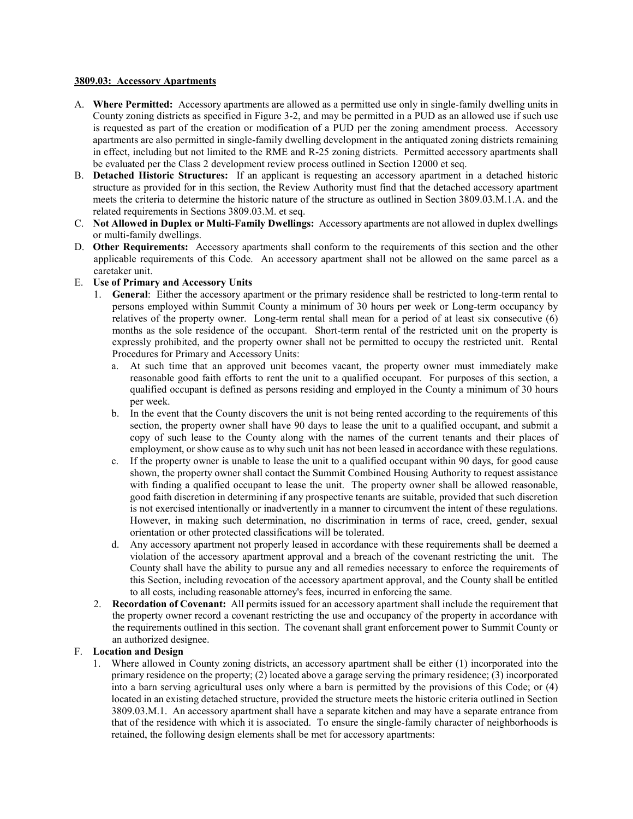#### **3809.03: Accessory Apartments**

- A. **Where Permitted:** Accessory apartments are allowed as a permitted use only in single-family dwelling units in County zoning districts as specified in Figure 3-2, and may be permitted in a PUD as an allowed use if such use is requested as part of the creation or modification of a PUD per the zoning amendment process. Accessory apartments are also permitted in single-family dwelling development in the antiquated zoning districts remaining in effect, including but not limited to the RME and R-25 zoning districts. Permitted accessory apartments shall be evaluated per the Class 2 development review process outlined in Section 12000 et seq.
- B. **Detached Historic Structures:** If an applicant is requesting an accessory apartment in a detached historic structure as provided for in this section, the Review Authority must find that the detached accessory apartment meets the criteria to determine the historic nature of the structure as outlined in Section 3809.03.M.1.A. and the related requirements in Sections 3809.03.M. et seq.
- C. **Not Allowed in Duplex or Multi-Family Dwellings:** Accessory apartments are not allowed in duplex dwellings or multi-family dwellings.
- D. **Other Requirements:** Accessory apartments shall conform to the requirements of this section and the other applicable requirements of this Code. An accessory apartment shall not be allowed on the same parcel as a caretaker unit.

#### E. **Use of Primary and Accessory Units**

- 1. **General**: Either the accessory apartment or the primary residence shall be restricted to long-term rental to persons employed within Summit County a minimum of 30 hours per week or Long-term occupancy by relatives of the property owner. Long-term rental shall mean for a period of at least six consecutive (6) months as the sole residence of the occupant. Short-term rental of the restricted unit on the property is expressly prohibited, and the property owner shall not be permitted to occupy the restricted unit. Rental Procedures for Primary and Accessory Units:
	- a. At such time that an approved unit becomes vacant, the property owner must immediately make reasonable good faith efforts to rent the unit to a qualified occupant. For purposes of this section, a qualified occupant is defined as persons residing and employed in the County a minimum of 30 hours per week.
	- b. In the event that the County discovers the unit is not being rented according to the requirements of this section, the property owner shall have 90 days to lease the unit to a qualified occupant, and submit a copy of such lease to the County along with the names of the current tenants and their places of employment, or show cause as to why such unit has not been leased in accordance with these regulations.
	- c. If the property owner is unable to lease the unit to a qualified occupant within 90 days, for good cause shown, the property owner shall contact the Summit Combined Housing Authority to request assistance with finding a qualified occupant to lease the unit. The property owner shall be allowed reasonable, good faith discretion in determining if any prospective tenants are suitable, provided that such discretion is not exercised intentionally or inadvertently in a manner to circumvent the intent of these regulations. However, in making such determination, no discrimination in terms of race, creed, gender, sexual orientation or other protected classifications will be tolerated.
	- d. Any accessory apartment not properly leased in accordance with these requirements shall be deemed a violation of the accessory apartment approval and a breach of the covenant restricting the unit. The County shall have the ability to pursue any and all remedies necessary to enforce the requirements of this Section, including revocation of the accessory apartment approval, and the County shall be entitled to all costs, including reasonable attorney's fees, incurred in enforcing the same.
- 2. **Recordation of Covenant:** All permits issued for an accessory apartment shall include the requirement that the property owner record a covenant restricting the use and occupancy of the property in accordance with the requirements outlined in this section. The covenant shall grant enforcement power to Summit County or an authorized designee.

#### F. **Location and Design**

1. Where allowed in County zoning districts, an accessory apartment shall be either (1) incorporated into the primary residence on the property; (2) located above a garage serving the primary residence; (3) incorporated into a barn serving agricultural uses only where a barn is permitted by the provisions of this Code; or (4) located in an existing detached structure, provided the structure meets the historic criteria outlined in Section 3809.03.M.1. An accessory apartment shall have a separate kitchen and may have a separate entrance from that of the residence with which it is associated. To ensure the single-family character of neighborhoods is retained, the following design elements shall be met for accessory apartments: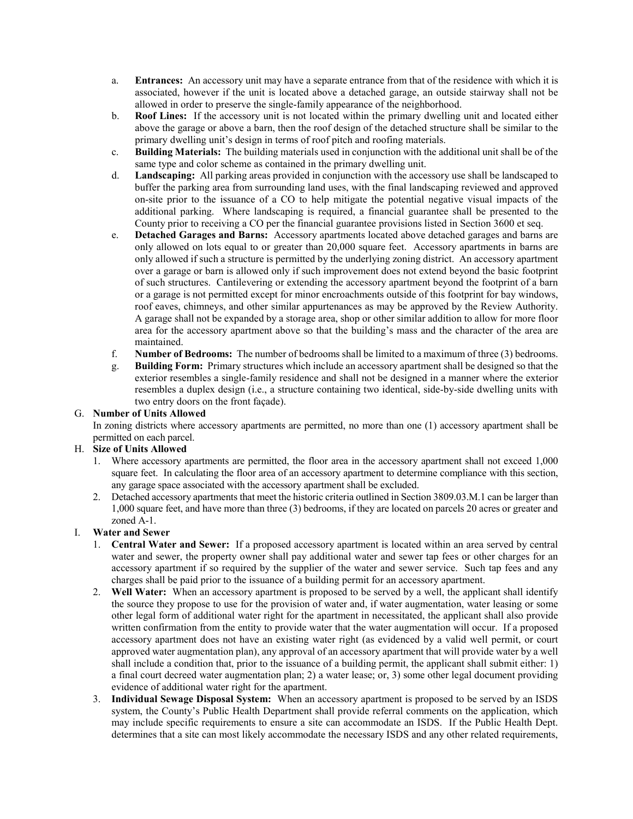- a. **Entrances:** An accessory unit may have a separate entrance from that of the residence with which it is associated, however if the unit is located above a detached garage, an outside stairway shall not be allowed in order to preserve the single-family appearance of the neighborhood.
- b. **Roof Lines:** If the accessory unit is not located within the primary dwelling unit and located either above the garage or above a barn, then the roof design of the detached structure shall be similar to the primary dwelling unit's design in terms of roof pitch and roofing materials.
- c. **Building Materials:** The building materials used in conjunction with the additional unit shall be of the same type and color scheme as contained in the primary dwelling unit.
- d. **Landscaping:** All parking areas provided in conjunction with the accessory use shall be landscaped to buffer the parking area from surrounding land uses, with the final landscaping reviewed and approved on-site prior to the issuance of a CO to help mitigate the potential negative visual impacts of the additional parking. Where landscaping is required, a financial guarantee shall be presented to the County prior to receiving a CO per the financial guarantee provisions listed in Section 3600 et seq.
- e. **Detached Garages and Barns:** Accessory apartments located above detached garages and barns are only allowed on lots equal to or greater than 20,000 square feet. Accessory apartments in barns are only allowed if such a structure is permitted by the underlying zoning district. An accessory apartment over a garage or barn is allowed only if such improvement does not extend beyond the basic footprint of such structures. Cantilevering or extending the accessory apartment beyond the footprint of a barn or a garage is not permitted except for minor encroachments outside of this footprint for bay windows, roof eaves, chimneys, and other similar appurtenances as may be approved by the Review Authority. A garage shall not be expanded by a storage area, shop or other similar addition to allow for more floor area for the accessory apartment above so that the building's mass and the character of the area are maintained.
- f. **Number of Bedrooms:** The number of bedrooms shall be limited to a maximum of three (3) bedrooms.
- g. **Building Form:** Primary structures which include an accessory apartment shall be designed so that the exterior resembles a single-family residence and shall not be designed in a manner where the exterior resembles a duplex design (i.e., a structure containing two identical, side-by-side dwelling units with two entry doors on the front façade).

#### G. **Number of Units Allowed**

In zoning districts where accessory apartments are permitted, no more than one (1) accessory apartment shall be permitted on each parcel.

# H. **Size of Units Allowed**

- 1. Where accessory apartments are permitted, the floor area in the accessory apartment shall not exceed 1,000 square feet. In calculating the floor area of an accessory apartment to determine compliance with this section, any garage space associated with the accessory apartment shall be excluded.
- 2. Detached accessory apartments that meet the historic criteria outlined in Section 3809.03.M.1 can be larger than 1,000 square feet, and have more than three (3) bedrooms, if they are located on parcels 20 acres or greater and zoned A-1.

# I. **Water and Sewer**

- 1. **Central Water and Sewer:** If a proposed accessory apartment is located within an area served by central water and sewer, the property owner shall pay additional water and sewer tap fees or other charges for an accessory apartment if so required by the supplier of the water and sewer service. Such tap fees and any charges shall be paid prior to the issuance of a building permit for an accessory apartment.
- 2. **Well Water:** When an accessory apartment is proposed to be served by a well, the applicant shall identify the source they propose to use for the provision of water and, if water augmentation, water leasing or some other legal form of additional water right for the apartment in necessitated, the applicant shall also provide written confirmation from the entity to provide water that the water augmentation will occur. If a proposed accessory apartment does not have an existing water right (as evidenced by a valid well permit, or court approved water augmentation plan), any approval of an accessory apartment that will provide water by a well shall include a condition that, prior to the issuance of a building permit, the applicant shall submit either: 1) a final court decreed water augmentation plan; 2) a water lease; or, 3) some other legal document providing evidence of additional water right for the apartment.
- 3. **Individual Sewage Disposal System:** When an accessory apartment is proposed to be served by an ISDS system, the County's Public Health Department shall provide referral comments on the application, which may include specific requirements to ensure a site can accommodate an ISDS. If the Public Health Dept. determines that a site can most likely accommodate the necessary ISDS and any other related requirements,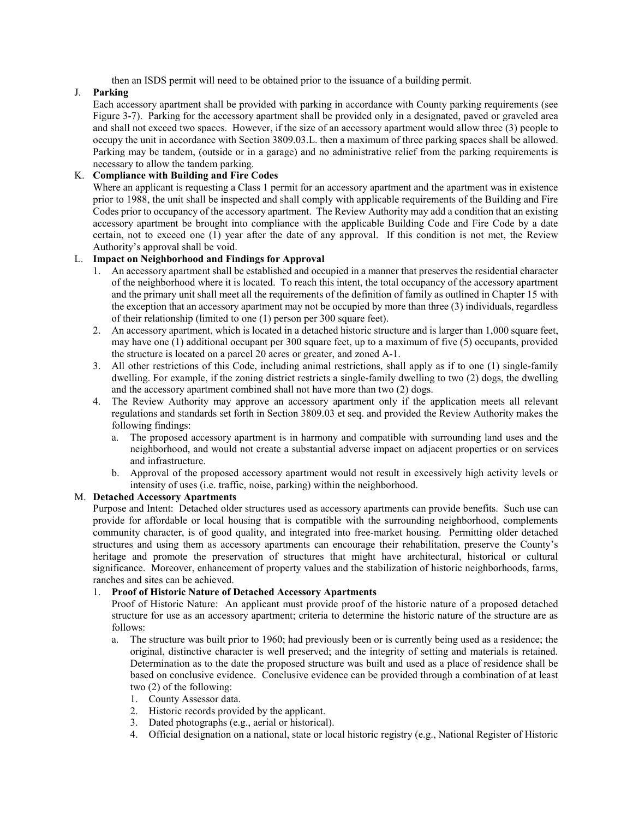then an ISDS permit will need to be obtained prior to the issuance of a building permit.

#### J. **Parking**

Each accessory apartment shall be provided with parking in accordance with County parking requirements (see Figure 3-7). Parking for the accessory apartment shall be provided only in a designated, paved or graveled area and shall not exceed two spaces. However, if the size of an accessory apartment would allow three (3) people to occupy the unit in accordance with Section 3809.03.L. then a maximum of three parking spaces shall be allowed. Parking may be tandem, (outside or in a garage) and no administrative relief from the parking requirements is necessary to allow the tandem parking.

#### K. **Compliance with Building and Fire Codes**

Where an applicant is requesting a Class 1 permit for an accessory apartment and the apartment was in existence prior to 1988, the unit shall be inspected and shall comply with applicable requirements of the Building and Fire Codes prior to occupancy of the accessory apartment. The Review Authority may add a condition that an existing accessory apartment be brought into compliance with the applicable Building Code and Fire Code by a date certain, not to exceed one (1) year after the date of any approval. If this condition is not met, the Review Authority's approval shall be void.

#### L. **Impact on Neighborhood and Findings for Approval**

- 1. An accessory apartment shall be established and occupied in a manner that preserves the residential character of the neighborhood where it is located. To reach this intent, the total occupancy of the accessory apartment and the primary unit shall meet all the requirements of the definition of family as outlined in Chapter 15 with the exception that an accessory apartment may not be occupied by more than three (3) individuals, regardless of their relationship (limited to one (1) person per 300 square feet).
- 2. An accessory apartment, which is located in a detached historic structure and is larger than 1,000 square feet, may have one (1) additional occupant per 300 square feet, up to a maximum of five (5) occupants, provided the structure is located on a parcel 20 acres or greater, and zoned A-1.
- 3. All other restrictions of this Code, including animal restrictions, shall apply as if to one (1) single-family dwelling. For example, if the zoning district restricts a single-family dwelling to two (2) dogs, the dwelling and the accessory apartment combined shall not have more than two (2) dogs.
- 4. The Review Authority may approve an accessory apartment only if the application meets all relevant regulations and standards set forth in Section 3809.03 et seq. and provided the Review Authority makes the following findings:
	- a. The proposed accessory apartment is in harmony and compatible with surrounding land uses and the neighborhood, and would not create a substantial adverse impact on adjacent properties or on services and infrastructure.
	- b. Approval of the proposed accessory apartment would not result in excessively high activity levels or intensity of uses (i.e. traffic, noise, parking) within the neighborhood.

#### M. **Detached Accessory Apartments**

Purpose and Intent: Detached older structures used as accessory apartments can provide benefits. Such use can provide for affordable or local housing that is compatible with the surrounding neighborhood, complements community character, is of good quality, and integrated into free-market housing. Permitting older detached structures and using them as accessory apartments can encourage their rehabilitation, preserve the County's heritage and promote the preservation of structures that might have architectural, historical or cultural significance. Moreover, enhancement of property values and the stabilization of historic neighborhoods, farms, ranches and sites can be achieved.

#### 1. **Proof of Historic Nature of Detached Accessory Apartments**

Proof of Historic Nature: An applicant must provide proof of the historic nature of a proposed detached structure for use as an accessory apartment; criteria to determine the historic nature of the structure are as follows:

- a. The structure was built prior to 1960; had previously been or is currently being used as a residence; the original, distinctive character is well preserved; and the integrity of setting and materials is retained. Determination as to the date the proposed structure was built and used as a place of residence shall be based on conclusive evidence. Conclusive evidence can be provided through a combination of at least two (2) of the following:
	- 1. County Assessor data.
	- 2. Historic records provided by the applicant.
	- 3. Dated photographs (e.g., aerial or historical).
	- 4. Official designation on a national, state or local historic registry (e.g., National Register of Historic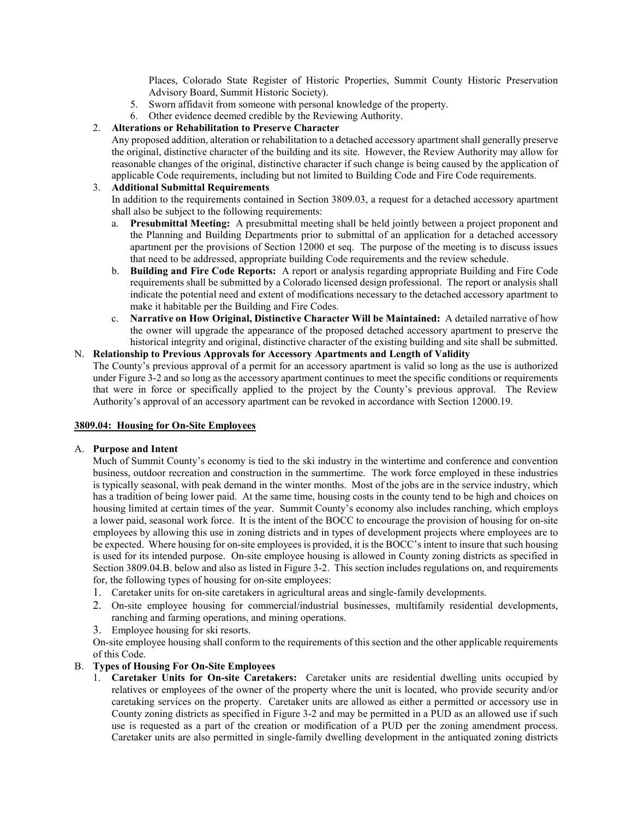Places, Colorado State Register of Historic Properties, Summit County Historic Preservation Advisory Board, Summit Historic Society).

- 5. Sworn affidavit from someone with personal knowledge of the property.
- 6. Other evidence deemed credible by the Reviewing Authority.

#### 2. **Alterations or Rehabilitation to Preserve Character**

Any proposed addition, alteration or rehabilitation to a detached accessory apartment shall generally preserve the original, distinctive character of the building and its site. However, the Review Authority may allow for reasonable changes of the original, distinctive character if such change is being caused by the application of applicable Code requirements, including but not limited to Building Code and Fire Code requirements.

#### 3. **Additional Submittal Requirements**

In addition to the requirements contained in Section 3809.03, a request for a detached accessory apartment shall also be subject to the following requirements:

- a. **Presubmittal Meeting:** A presubmittal meeting shall be held jointly between a project proponent and the Planning and Building Departments prior to submittal of an application for a detached accessory apartment per the provisions of Section 12000 et seq. The purpose of the meeting is to discuss issues that need to be addressed, appropriate building Code requirements and the review schedule.
- b. **Building and Fire Code Reports:** A report or analysis regarding appropriate Building and Fire Code requirements shall be submitted by a Colorado licensed design professional. The report or analysis shall indicate the potential need and extent of modifications necessary to the detached accessory apartment to make it habitable per the Building and Fire Codes.
- c. **Narrative on How Original, Distinctive Character Will be Maintained:** A detailed narrative of how the owner will upgrade the appearance of the proposed detached accessory apartment to preserve the historical integrity and original, distinctive character of the existing building and site shall be submitted.

# N. **Relationship to Previous Approvals for Accessory Apartments and Length of Validity**

The County's previous approval of a permit for an accessory apartment is valid so long as the use is authorized under Figure 3-2 and so long as the accessory apartment continues to meet the specific conditions or requirements that were in force or specifically applied to the project by the County's previous approval. The Review Authority's approval of an accessory apartment can be revoked in accordance with Section 12000.19.

#### **3809.04: Housing for On-Site Employees**

#### A. **Purpose and Intent**

Much of Summit County's economy is tied to the ski industry in the wintertime and conference and convention business, outdoor recreation and construction in the summertime. The work force employed in these industries is typically seasonal, with peak demand in the winter months. Most of the jobs are in the service industry, which has a tradition of being lower paid. At the same time, housing costs in the county tend to be high and choices on housing limited at certain times of the year. Summit County's economy also includes ranching, which employs a lower paid, seasonal work force. It is the intent of the BOCC to encourage the provision of housing for on-site employees by allowing this use in zoning districts and in types of development projects where employees are to be expected. Where housing for on-site employees is provided, it is the BOCC's intent to insure that such housing is used for its intended purpose. On-site employee housing is allowed in County zoning districts as specified in Section 3809.04.B. below and also as listed in Figure 3-2. This section includes regulations on, and requirements for, the following types of housing for on-site employees:

- 1. Caretaker units for on-site caretakers in agricultural areas and single-family developments.
- 2. On-site employee housing for commercial/industrial businesses, multifamily residential developments, ranching and farming operations, and mining operations.
- 3. Employee housing for ski resorts.

On-site employee housing shall conform to the requirements of this section and the other applicable requirements of this Code.

# B. **Types of Housing For On-Site Employees**

1. **Caretaker Units for On-site Caretakers:** Caretaker units are residential dwelling units occupied by relatives or employees of the owner of the property where the unit is located, who provide security and/or caretaking services on the property. Caretaker units are allowed as either a permitted or accessory use in County zoning districts as specified in Figure 3-2 and may be permitted in a PUD as an allowed use if such use is requested as a part of the creation or modification of a PUD per the zoning amendment process. Caretaker units are also permitted in single-family dwelling development in the antiquated zoning districts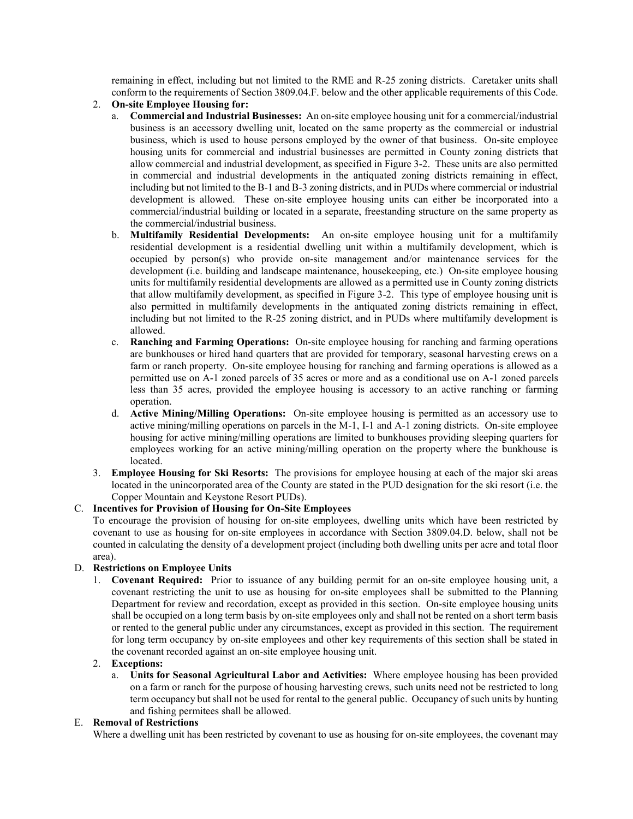remaining in effect, including but not limited to the RME and R-25 zoning districts. Caretaker units shall conform to the requirements of Section 3809.04.F. below and the other applicable requirements of this Code.

- 2. **On-site Employee Housing for:**
	- a. **Commercial and Industrial Businesses:** An on-site employee housing unit for a commercial/industrial business is an accessory dwelling unit, located on the same property as the commercial or industrial business, which is used to house persons employed by the owner of that business. On-site employee housing units for commercial and industrial businesses are permitted in County zoning districts that allow commercial and industrial development, as specified in Figure 3-2. These units are also permitted in commercial and industrial developments in the antiquated zoning districts remaining in effect, including but not limited to the B-1 and B-3 zoning districts, and in PUDs where commercial or industrial development is allowed. These on-site employee housing units can either be incorporated into a commercial/industrial building or located in a separate, freestanding structure on the same property as the commercial/industrial business.
	- b. **Multifamily Residential Developments:** An on-site employee housing unit for a multifamily residential development is a residential dwelling unit within a multifamily development, which is occupied by person(s) who provide on-site management and/or maintenance services for the development (i.e. building and landscape maintenance, housekeeping, etc.) On-site employee housing units for multifamily residential developments are allowed as a permitted use in County zoning districts that allow multifamily development, as specified in Figure 3-2. This type of employee housing unit is also permitted in multifamily developments in the antiquated zoning districts remaining in effect, including but not limited to the R-25 zoning district, and in PUDs where multifamily development is allowed.
	- c. **Ranching and Farming Operations:** On-site employee housing for ranching and farming operations are bunkhouses or hired hand quarters that are provided for temporary, seasonal harvesting crews on a farm or ranch property. On-site employee housing for ranching and farming operations is allowed as a permitted use on A-1 zoned parcels of 35 acres or more and as a conditional use on A-1 zoned parcels less than 35 acres, provided the employee housing is accessory to an active ranching or farming operation.
	- d. **Active Mining/Milling Operations:** On-site employee housing is permitted as an accessory use to active mining/milling operations on parcels in the M-1, I-1 and A-1 zoning districts. On-site employee housing for active mining/milling operations are limited to bunkhouses providing sleeping quarters for employees working for an active mining/milling operation on the property where the bunkhouse is located.
- 3. **Employee Housing for Ski Resorts:** The provisions for employee housing at each of the major ski areas located in the unincorporated area of the County are stated in the PUD designation for the ski resort (i.e. the Copper Mountain and Keystone Resort PUDs).

# C. **Incentives for Provision of Housing for On-Site Employees**

To encourage the provision of housing for on-site employees, dwelling units which have been restricted by covenant to use as housing for on-site employees in accordance with Section 3809.04.D. below, shall not be counted in calculating the density of a development project (including both dwelling units per acre and total floor area).

# D. **Restrictions on Employee Units**

1. **Covenant Required:** Prior to issuance of any building permit for an on-site employee housing unit, a covenant restricting the unit to use as housing for on-site employees shall be submitted to the Planning Department for review and recordation, except as provided in this section. On-site employee housing units shall be occupied on a long term basis by on-site employees only and shall not be rented on a short term basis or rented to the general public under any circumstances, except as provided in this section. The requirement for long term occupancy by on-site employees and other key requirements of this section shall be stated in the covenant recorded against an on-site employee housing unit.

#### 2. **Exceptions:**

a. **Units for Seasonal Agricultural Labor and Activities:** Where employee housing has been provided on a farm or ranch for the purpose of housing harvesting crews, such units need not be restricted to long term occupancy but shall not be used for rental to the general public. Occupancy of such units by hunting and fishing permitees shall be allowed.

# E. **Removal of Restrictions**

Where a dwelling unit has been restricted by covenant to use as housing for on-site employees, the covenant may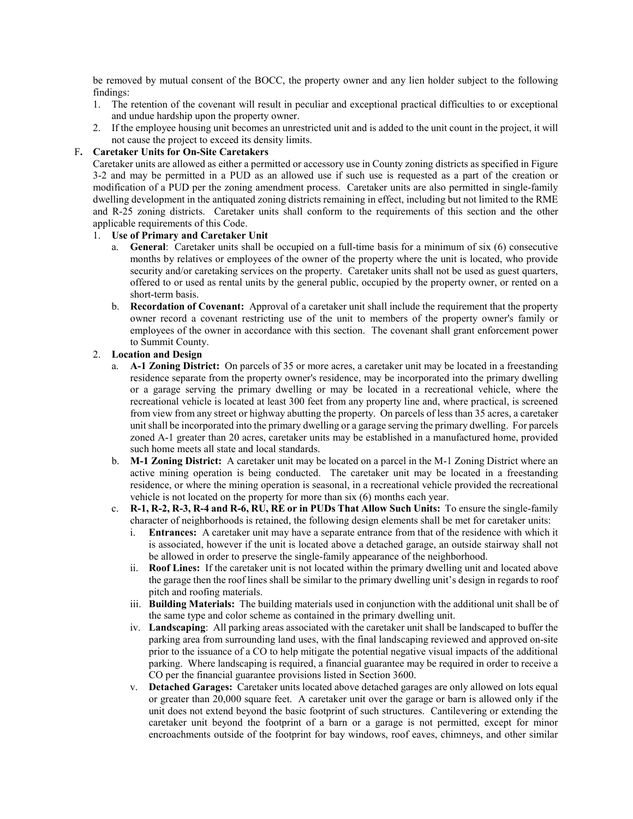be removed by mutual consent of the BOCC, the property owner and any lien holder subject to the following findings:

- 1. The retention of the covenant will result in peculiar and exceptional practical difficulties to or exceptional and undue hardship upon the property owner.
- 2. If the employee housing unit becomes an unrestricted unit and is added to the unit count in the project, it will not cause the project to exceed its density limits.

#### F**. Caretaker Units for On-Site Caretakers**

Caretaker units are allowed as either a permitted or accessory use in County zoning districts as specified in Figure 3-2 and may be permitted in a PUD as an allowed use if such use is requested as a part of the creation or modification of a PUD per the zoning amendment process. Caretaker units are also permitted in single-family dwelling development in the antiquated zoning districts remaining in effect, including but not limited to the RME and R-25 zoning districts. Caretaker units shall conform to the requirements of this section and the other applicable requirements of this Code.

#### 1. **Use of Primary and Caretaker Unit**

- a. **General**: Caretaker units shall be occupied on a full-time basis for a minimum of six (6) consecutive months by relatives or employees of the owner of the property where the unit is located, who provide security and/or caretaking services on the property. Caretaker units shall not be used as guest quarters, offered to or used as rental units by the general public, occupied by the property owner, or rented on a short-term basis.
- b. **Recordation of Covenant:** Approval of a caretaker unit shall include the requirement that the property owner record a covenant restricting use of the unit to members of the property owner's family or employees of the owner in accordance with this section. The covenant shall grant enforcement power to Summit County.

#### 2. **Location and Design**

- a. **A-1 Zoning District:** On parcels of 35 or more acres, a caretaker unit may be located in a freestanding residence separate from the property owner's residence, may be incorporated into the primary dwelling or a garage serving the primary dwelling or may be located in a recreational vehicle, where the recreational vehicle is located at least 300 feet from any property line and, where practical, is screened from view from any street or highway abutting the property. On parcels of less than 35 acres, a caretaker unit shall be incorporated into the primary dwelling or a garage serving the primary dwelling. For parcels zoned A-1 greater than 20 acres, caretaker units may be established in a manufactured home, provided such home meets all state and local standards.
- b. **M-1 Zoning District:** A caretaker unit may be located on a parcel in the M-1 Zoning District where an active mining operation is being conducted. The caretaker unit may be located in a freestanding residence, or where the mining operation is seasonal, in a recreational vehicle provided the recreational vehicle is not located on the property for more than six (6) months each year.
- c. **R-1, R-2, R-3, R-4 and R-6, RU, RE or in PUDs That Allow Such Units:** To ensure the single-family character of neighborhoods is retained, the following design elements shall be met for caretaker units:
	- i. **Entrances:** A caretaker unit may have a separate entrance from that of the residence with which it is associated, however if the unit is located above a detached garage, an outside stairway shall not be allowed in order to preserve the single-family appearance of the neighborhood.
	- ii. **Roof Lines:** If the caretaker unit is not located within the primary dwelling unit and located above the garage then the roof lines shall be similar to the primary dwelling unit's design in regards to roof pitch and roofing materials.
	- iii. **Building Materials:** The building materials used in conjunction with the additional unit shall be of the same type and color scheme as contained in the primary dwelling unit.
	- iv. **Landscaping**: All parking areas associated with the caretaker unit shall be landscaped to buffer the parking area from surrounding land uses, with the final landscaping reviewed and approved on-site prior to the issuance of a CO to help mitigate the potential negative visual impacts of the additional parking. Where landscaping is required, a financial guarantee may be required in order to receive a CO per the financial guarantee provisions listed in Section 3600.
	- v. **Detached Garages:** Caretaker units located above detached garages are only allowed on lots equal or greater than 20,000 square feet. A caretaker unit over the garage or barn is allowed only if the unit does not extend beyond the basic footprint of such structures. Cantilevering or extending the caretaker unit beyond the footprint of a barn or a garage is not permitted, except for minor encroachments outside of the footprint for bay windows, roof eaves, chimneys, and other similar